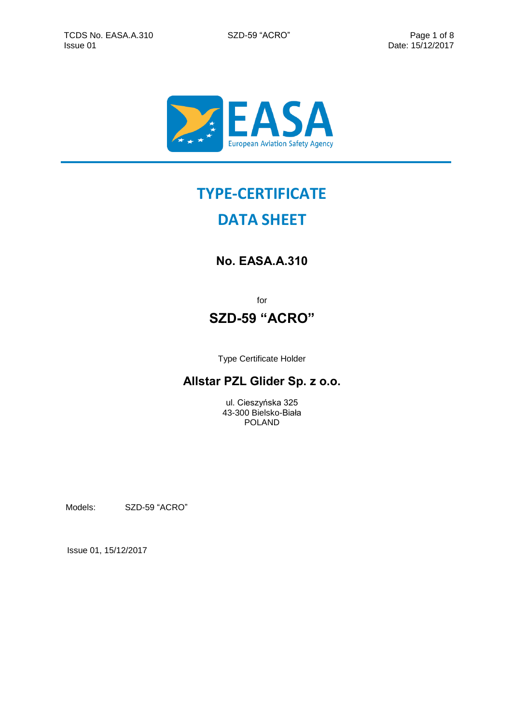

# **TYPE-CERTIFICATE**

# **DATA SHEET**

## **No. EASA.A.310**

for

## **SZD-59 "ACRO"**

Type Certificate Holder

### **Allstar PZL Glider Sp. z o.o.**

ul. Cieszyńska 325 43-300 Bielsko-Biała POLAND

Models: SZD-59 "ACRO"

Issue 01, 15/12/2017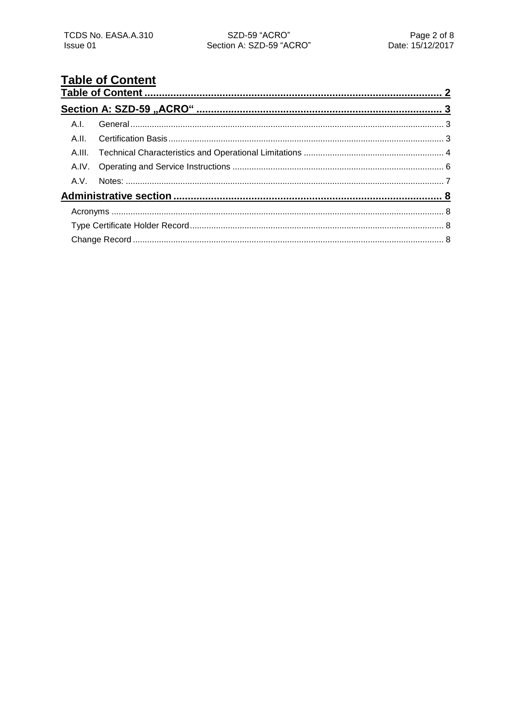# <span id="page-1-0"></span>**Table of Content**

| A.I. |  |  |  |  |  |
|------|--|--|--|--|--|
|      |  |  |  |  |  |
|      |  |  |  |  |  |
|      |  |  |  |  |  |
|      |  |  |  |  |  |
|      |  |  |  |  |  |
|      |  |  |  |  |  |
|      |  |  |  |  |  |
|      |  |  |  |  |  |
|      |  |  |  |  |  |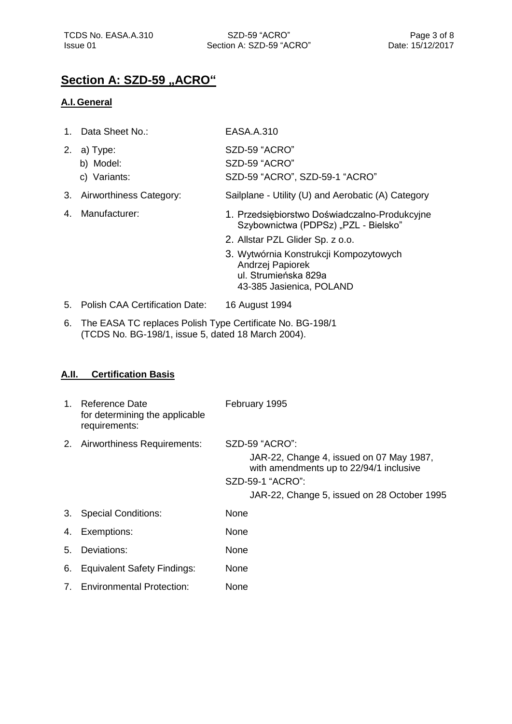# <span id="page-2-0"></span>**Section A: SZD-59 "ACRO"**

#### <span id="page-2-1"></span>**A.I.General**

|    | Data Sheet No.:                       | EASA.A.310                                                                                                     |
|----|---------------------------------------|----------------------------------------------------------------------------------------------------------------|
| 2. | a) Type:<br>b) Model:<br>c) Variants: | SZD-59 "ACRO"<br>SZD-59 "ACRO"<br>SZD-59 "ACRO", SZD-59-1 "ACRO"                                               |
| 3. | Airworthiness Category:               | Sailplane - Utility (U) and Aerobatic (A) Category                                                             |
| 4. | Manufacturer:                         | 1. Przedsiębiorstwo Doświadczalno-Produkcyjne<br>Szybownictwa (PDPSz) "PZL - Bielsko"                          |
|    |                                       | 2. Allstar PZL Glider Sp. z o.o.                                                                               |
|    |                                       | 3. Wytwórnia Konstrukcji Kompozytowych<br>Andrzej Papiorek<br>ul. Strumieńska 829a<br>43-385 Jasienica, POLAND |
| 5. | <b>Polish CAA Certification Date:</b> | 16 August 1994                                                                                                 |

6. The EASA TC replaces Polish Type Certificate No. BG-198/1 (TCDS No. BG-198/1, issue 5, dated 18 March 2004).

#### <span id="page-2-2"></span>**A.II. Certification Basis**

| $1_{-}$ | Reference Date<br>for determining the applicable<br>requirements: | February 1995                                                                                                                                                            |
|---------|-------------------------------------------------------------------|--------------------------------------------------------------------------------------------------------------------------------------------------------------------------|
| 2.      | Airworthiness Requirements:                                       | SZD-59 "ACRO":<br>JAR-22, Change 4, issued on 07 May 1987,<br>with amendments up to 22/94/1 inclusive<br>SZD-59-1 "ACRO":<br>JAR-22, Change 5, issued on 28 October 1995 |
| 3.      | <b>Special Conditions:</b>                                        | None                                                                                                                                                                     |
| 4.      | Exemptions:                                                       | None                                                                                                                                                                     |
| 5.      | Deviations:                                                       | None                                                                                                                                                                     |
| 6.      | <b>Equivalent Safety Findings:</b>                                | None                                                                                                                                                                     |
|         | 7. Environmental Protection:                                      | None                                                                                                                                                                     |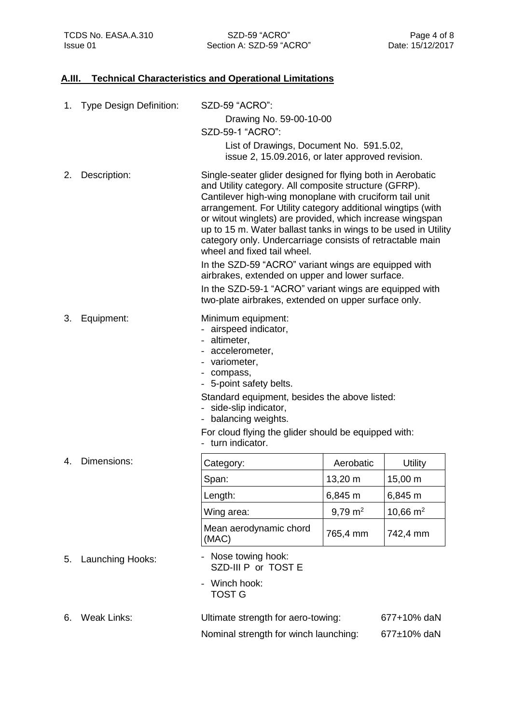#### <span id="page-3-0"></span>**A.III. Technical Characteristics and Operational Limitations**

| 1. | <b>Type Design Definition:</b> | SZD-59 "ACRO":<br>Drawing No. 59-00-10-00<br>SZD-59-1 "ACRO":                                                                                                                                                                                                                                                                                                                                                                                                                                                                                                                                                                                                                                         |                    |             |  |
|----|--------------------------------|-------------------------------------------------------------------------------------------------------------------------------------------------------------------------------------------------------------------------------------------------------------------------------------------------------------------------------------------------------------------------------------------------------------------------------------------------------------------------------------------------------------------------------------------------------------------------------------------------------------------------------------------------------------------------------------------------------|--------------------|-------------|--|
|    |                                | List of Drawings, Document No. 591.5.02,<br>issue 2, 15.09.2016, or later approved revision.                                                                                                                                                                                                                                                                                                                                                                                                                                                                                                                                                                                                          |                    |             |  |
| 2. | Description:                   | Single-seater glider designed for flying both in Aerobatic<br>and Utility category. All composite structure (GFRP).<br>Cantilever high-wing monoplane with cruciform tail unit<br>arrangement. For Utility category additional wingtips (with<br>or witout winglets) are provided, which increase wingspan<br>up to 15 m. Water ballast tanks in wings to be used in Utility<br>category only. Undercarriage consists of retractable main<br>wheel and fixed tail wheel.<br>In the SZD-59 "ACRO" variant wings are equipped with<br>airbrakes, extended on upper and lower surface.<br>In the SZD-59-1 "ACRO" variant wings are equipped with<br>two-plate airbrakes, extended on upper surface only. |                    |             |  |
| 3. | Equipment:                     | Minimum equipment:<br>- airspeed indicator,<br>- altimeter,<br>- accelerometer,<br>- variometer,<br>- compass,<br>- 5-point safety belts.<br>Standard equipment, besides the above listed:<br>- side-slip indicator,<br>- balancing weights.<br>For cloud flying the glider should be equipped with:<br>- turn indicator.                                                                                                                                                                                                                                                                                                                                                                             |                    |             |  |
| 4. | Dimensions:                    | Category:                                                                                                                                                                                                                                                                                                                                                                                                                                                                                                                                                                                                                                                                                             | Aerobatic          | Utility     |  |
|    |                                | Span:                                                                                                                                                                                                                                                                                                                                                                                                                                                                                                                                                                                                                                                                                                 | 13,20 m            | 15,00 m     |  |
|    |                                | Length:                                                                                                                                                                                                                                                                                                                                                                                                                                                                                                                                                                                                                                                                                               | 6,845 m            | 6,845 m     |  |
|    |                                | Wing area:                                                                                                                                                                                                                                                                                                                                                                                                                                                                                                                                                                                                                                                                                            | $9,79 \text{ m}^2$ | 10,66 $m2$  |  |
|    |                                | Mean aerodynamic chord<br>(MAC)                                                                                                                                                                                                                                                                                                                                                                                                                                                                                                                                                                                                                                                                       | 765,4 mm           | 742,4 mm    |  |
| 5. | Launching Hooks:               | Nose towing hook:<br>SZD-III P or TOST E                                                                                                                                                                                                                                                                                                                                                                                                                                                                                                                                                                                                                                                              |                    |             |  |
|    |                                | Winch hook:<br><b>TOST G</b>                                                                                                                                                                                                                                                                                                                                                                                                                                                                                                                                                                                                                                                                          |                    |             |  |
| 6. | <b>Weak Links:</b>             | Ultimate strength for aero-towing:                                                                                                                                                                                                                                                                                                                                                                                                                                                                                                                                                                                                                                                                    |                    | 677+10% daN |  |
|    |                                | Nominal strength for winch launching:                                                                                                                                                                                                                                                                                                                                                                                                                                                                                                                                                                                                                                                                 |                    | 677±10% daN |  |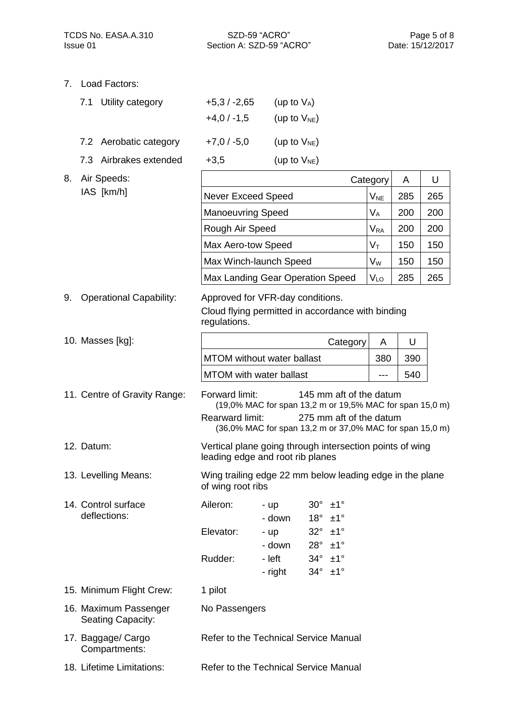Section A: SZD-59 "ACRO" Issue 01 Date: 15/12/2017

7. Load Factors:

| 7.1 Utility category   | $+5.3 / -2.65$ | (up to $V_A$ )    |
|------------------------|----------------|-------------------|
|                        | $+4,0/ -1,5$   | (up to $V_{NE}$ ) |
| 7.2 Aerobatic category | $+7,0/ -5,0$   | (up to $V_{NE}$ ) |
| 7.3 Airbrakes extended | $+3,5$         | (up to $V_{NE}$ ) |

 $\blacksquare$ 

| 8. | Air Speeds:                                       |                                                                                                                                                                                                                        |                                                       |                                                                                                            |                          | Category                   | Α   | U   |
|----|---------------------------------------------------|------------------------------------------------------------------------------------------------------------------------------------------------------------------------------------------------------------------------|-------------------------------------------------------|------------------------------------------------------------------------------------------------------------|--------------------------|----------------------------|-----|-----|
|    | IAS [km/h]                                        | <b>Never Exceed Speed</b>                                                                                                                                                                                              |                                                       |                                                                                                            |                          | V <sub>NE</sub>            | 285 | 265 |
|    |                                                   | <b>Manoeuvring Speed</b>                                                                                                                                                                                               |                                                       |                                                                                                            |                          | $V_A$                      | 200 | 200 |
|    |                                                   | Rough Air Speed                                                                                                                                                                                                        |                                                       |                                                                                                            |                          | $\mathsf{V}_{\mathsf{RA}}$ | 200 | 200 |
|    |                                                   | Max Aero-tow Speed                                                                                                                                                                                                     |                                                       |                                                                                                            |                          | Vт                         | 150 | 150 |
|    |                                                   | Max Winch-launch Speed                                                                                                                                                                                                 |                                                       |                                                                                                            |                          | $V_W$                      | 150 | 150 |
|    |                                                   | Max Landing Gear Operation Speed                                                                                                                                                                                       |                                                       |                                                                                                            |                          | VLO                        | 285 | 265 |
| 9. | <b>Operational Capability:</b>                    | Approved for VFR-day conditions.<br>Cloud flying permitted in accordance with binding<br>regulations.                                                                                                                  |                                                       |                                                                                                            |                          |                            |     |     |
|    | 10. Masses [kg]:                                  |                                                                                                                                                                                                                        |                                                       |                                                                                                            | Category                 | A                          | U   |     |
|    |                                                   | <b>MTOM</b> without water ballast                                                                                                                                                                                      |                                                       |                                                                                                            |                          | 380                        | 390 |     |
|    |                                                   | <b>MTOM</b> with water ballast                                                                                                                                                                                         |                                                       |                                                                                                            |                          | ---                        | 540 |     |
|    | 11. Centre of Gravity Range:                      | Forward limit:<br>145 mm aft of the datum<br>(19,0% MAC for span 13,2 m or 19,5% MAC for span 15,0 m)<br><b>Rearward limit:</b><br>275 mm aft of the datum<br>(36,0% MAC for span 13,2 m or 37,0% MAC for span 15,0 m) |                                                       |                                                                                                            |                          |                            |     |     |
|    | 12. Datum:                                        | Vertical plane going through intersection points of wing<br>leading edge and root rib planes                                                                                                                           |                                                       |                                                                                                            |                          |                            |     |     |
|    | 13. Levelling Means:                              | Wing trailing edge 22 mm below leading edge in the plane<br>of wing root ribs                                                                                                                                          |                                                       |                                                                                                            |                          |                            |     |     |
|    | 14. Control surface<br>deflections:               | Aileron:<br>Elevator:<br>Rudder:                                                                                                                                                                                       | - up<br>- down<br>- up<br>- down<br>- left<br>- right | $30^\circ$ $\pm 1^\circ$<br>$18^\circ$<br>$32^\circ$<br>$28^\circ$<br>$34^\circ$<br>$34^\circ \pm 1^\circ$ | ±1°<br>±1°<br>±1°<br>±1° |                            |     |     |
|    | 15. Minimum Flight Crew:                          | 1 pilot                                                                                                                                                                                                                |                                                       |                                                                                                            |                          |                            |     |     |
|    | 16. Maximum Passenger<br><b>Seating Capacity:</b> | No Passengers                                                                                                                                                                                                          |                                                       |                                                                                                            |                          |                            |     |     |
|    | 17. Baggage/ Cargo<br>Compartments:               | Refer to the Technical Service Manual                                                                                                                                                                                  |                                                       |                                                                                                            |                          |                            |     |     |

18. Lifetime Limitations: Refer to the Technical Service Manual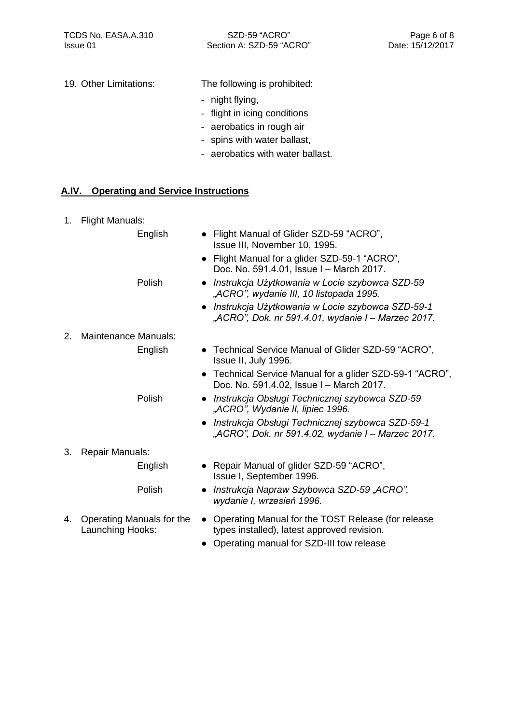Section A: SZD-59 "ACRO" Issue 01 Date: 15/12/2017

19. Other Limitations: The following is prohibited:

- night flying,
- flight in icing conditions
- aerobatics in rough air
- spins with water ballast,
- aerobatics with water ballast.

#### <span id="page-5-0"></span>**A.IV. Operating and Service Instructions**

- 1. Flight Manuals: English Polish ● Flight Manual of Glider SZD-59 "ACRO", Issue III, November 10, 1995. ● Flight Manual for a glider SZD-59-1 "ACRO", Doc. No. 591.4.01, Issue I - March 2017. ● *Instrukcja Użytkowania w Locie szybowca SZD-59 "ACRO", wydanie III, 10 listopada 1995.* ● *Instrukcja Użytkowania w Locie szybowca SZD-59-1 "ACRO", Dok. nr 591.4.01, wydanie I ‒ Marzec 2017.* 2. Maintenance Manuals: English Polish ● Technical Service Manual of Glider SZD-59 "ACRO", Issue II, July 1996. ● Technical Service Manual for a glider SZD-59-1 "ACRO", Doc. No. 591.4.02, Issue I - March 2017. ● *Instrukcja Obsługi Technicznej szybowca SZD-59 "ACRO", Wydanie II, lipiec 1996.* ● *Instrukcja Obsługi Technicznej szybowca SZD-59-1 "ACRO", Dok. nr 591.4.02, wydanie I ‒ Marzec 2017.* 3. Repair Manuals: English Polish ● Repair Manual of glider SZD-59 "ACRO", Issue I, September 1996. ● *Instrukcja Napraw Szybowca SZD-59 "ACRO", wydanie I, wrzesień 1996.* 4. Operating Manuals for the Launching Hooks: ● Operating Manual for the TOST Release (for release types installed), latest approved revision.
	- Operating manual for SZD-III tow release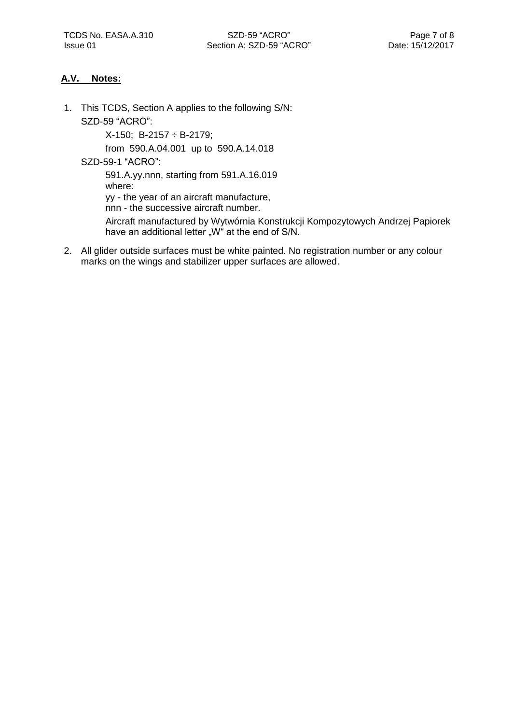#### <span id="page-6-0"></span>**A.V. Notes:**

1. This TCDS, Section A applies to the following S/N: SZD-59 "ACRO":

X-150; B-2157 ÷ B-2179;

from 590.A.04.001 up to 590.A.14.018

SZD-59-1 "ACRO":

591.A.yy.nnn, starting from 591.A.16.019 where:

yy - the year of an aircraft manufacture,

nnn - the successive aircraft number.

Aircraft manufactured by Wytwórnia Konstrukcji Kompozytowych Andrzej Papiorek have an additional letter "W" at the end of S/N.

2. All glider outside surfaces must be white painted. No registration number or any colour marks on the wings and stabilizer upper surfaces are allowed.